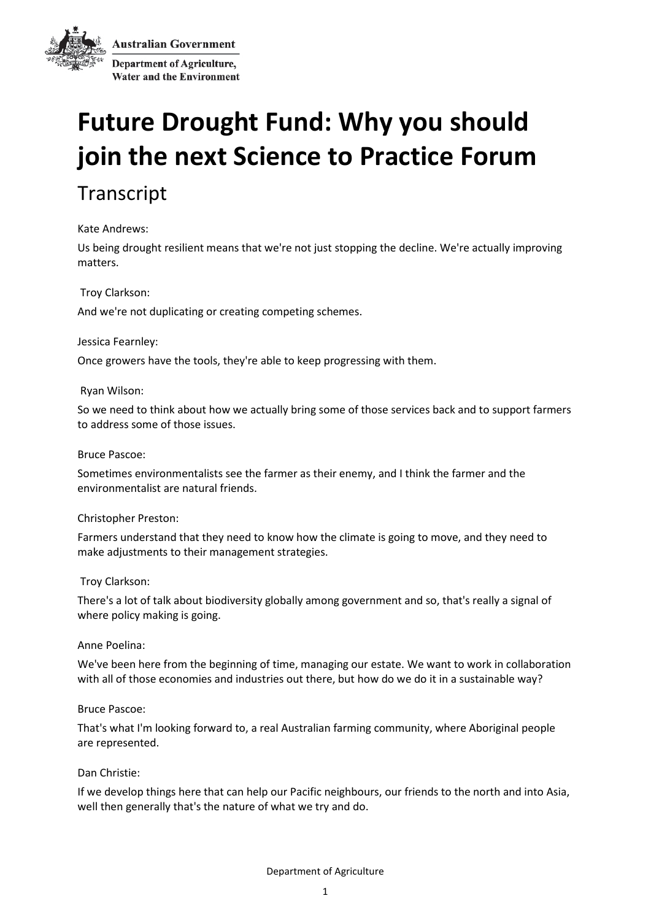

**Australian Government Department of Agriculture, Water and the Environment** 

# **Future Drought Fund: Why you should join the next Science to Practice Forum**

# Transcript

Kate Andrews:

Us being drought resilient means that we're not just stopping the decline. We're actually improving matters.

## Troy Clarkson:

And we're not duplicating or creating competing schemes.

#### Jessica Fearnley:

Once growers have the tools, they're able to keep progressing with them.

#### Ryan Wilson:

So we need to think about how we actually bring some of those services back and to support farmers to address some of those issues.

### Bruce Pascoe:

Sometimes environmentalists see the farmer as their enemy, and I think the farmer and the environmentalist are natural friends.

#### Christopher Preston:

Farmers understand that they need to know how the climate is going to move, and they need to make adjustments to their management strategies.

#### Troy Clarkson:

There's a lot of talk about biodiversity globally among government and so, that's really a signal of where policy making is going.

#### Anne Poelina:

We've been here from the beginning of time, managing our estate. We want to work in collaboration with all of those economies and industries out there, but how do we do it in a sustainable way?

#### Bruce Pascoe:

That's what I'm looking forward to, a real Australian farming community, where Aboriginal people are represented.

#### Dan Christie:

If we develop things here that can help our Pacific neighbours, our friends to the north and into Asia, well then generally that's the nature of what we try and do.